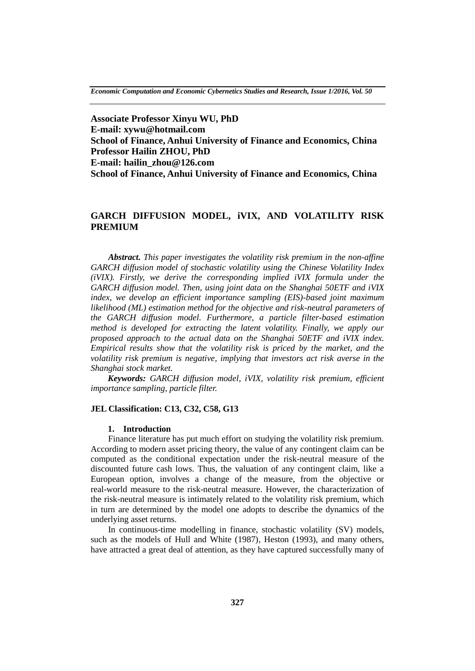*Economic Computation and Economic Cybernetics Studies and Research, Issue 1/2016, Vol. 50*

**Associate Professor Xinyu WU, PhD E-mail: xywu@hotmail.com School of Finance, Anhui University of Finance and Economics, China Professor Hailin ZHOU, PhD E-mail: hailin\_zhou@126.com School of Finance, Anhui University of Finance and Economics, China**

# **GARCH DIFFUSION MODEL, iVIX, AND VOLATILITY RISK PREMIUM**

*Abstract. This paper investigates the volatility risk premium in the non-affine GARCH diffusion model of stochastic volatility using the Chinese Volatility Index (iVIX). Firstly, we derive the corresponding implied iVIX formula under the GARCH diffusion model. Then, using joint data on the Shanghai 50ETF and iVIX index, we develop an efficient importance sampling (EIS)-based joint maximum likelihood (ML) estimation method for the objective and risk-neutral parameters of the GARCH diffusion model. Furthermore, a particle filter-based estimation method is developed for extracting the latent volatility. Finally, we apply our proposed approach to the actual data on the Shanghai 50ETF and iVIX index. Empirical results show that the volatility risk is priced by the market, and the volatility risk premium is negative, implying that investors act risk averse in the Shanghai stock market.*

*Keywords: GARCH diffusion model, iVIX, volatility risk premium, efficient importance sampling, particle filter.*

#### **JEL Classification: C13, C32, C58, G13**

#### **1. Introduction**

Finance literature has put much effort on studying the volatility risk premium. According to modern asset pricing theory, the value of any contingent claim can be computed as the conditional expectation under the risk-neutral measure of the discounted future cash lows. Thus, the valuation of any contingent claim, like a European option, involves a change of the measure, from the objective or real-world measure to the risk-neutral measure. However, the characterization of the risk-neutral measure is intimately related to the volatility risk premium, which in turn are determined by the model one adopts to describe the dynamics of the underlying asset returns.

In continuous-time modelling in finance, stochastic volatility (SV) models, such as the models of Hull and White (1987), Heston (1993), and many others, have attracted a great deal of attention, as they have captured successfully many of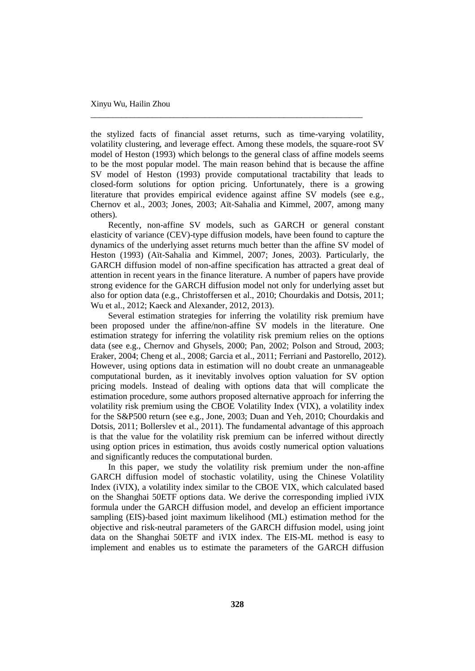the stylized facts of financial asset returns, such as time-varying volatility, volatility clustering, and leverage effect. Among these models, the square-root SV model of Heston (1993) which belongs to the general class of affine models seems to be the most popular model. The main reason behind that is because the affine SV model of Heston (1993) provide computational tractability that leads to closed-form solutions for option pricing. Unfortunately, there is a growing literature that provides empirical evidence against affine SV models (see e.g., Chernov et al., 2003; Jones, 2003; Aït-Sahalia and Kimmel, 2007, among many others).

\_\_\_\_\_\_\_\_\_\_\_\_\_\_\_\_\_\_\_\_\_\_\_\_\_\_\_\_\_\_\_\_\_\_\_\_\_\_\_\_\_\_\_\_\_\_\_\_\_\_\_\_\_\_\_\_\_\_\_\_\_\_

Recently, non-affine SV models, such as GARCH or general constant elasticity of variance (CEV)-type diffusion models, have been found to capture the dynamics of the underlying asset returns much better than the affine SV model of Heston (1993) (Aït-Sahalia and Kimmel, 2007; Jones, 2003). Particularly, the GARCH diffusion model of non-affine specification has attracted a great deal of attention in recent years in the finance literature. A number of papers have provide strong evidence for the GARCH diffusion model not only for underlying asset but also for option data (e.g., Christoffersen et al., 2010; Chourdakis and Dotsis, 2011; Wu et al., 2012; Kaeck and Alexander, 2012, 2013).

Several estimation strategies for inferring the volatility risk premium have been proposed under the affine/non-affine SV models in the literature. One estimation strategy for inferring the volatility risk premium relies on the options data (see e.g., Chernov and Ghysels, 2000; Pan, 2002; Polson and Stroud, 2003; Eraker, 2004; Cheng et al., 2008; Garcia et al., 2011; Ferriani and Pastorello, 2012). However, using options data in estimation will no doubt create an unmanageable computational burden, as it inevitably involves option valuation for SV option pricing models. Instead of dealing with options data that will complicate the estimation procedure, some authors proposed alternative approach for inferring the volatility risk premium using the CBOE Volatility Index (VIX), a volatility index for the S&P500 return (see e.g., Jone, 2003; Duan and Yeh, 2010; Chourdakis and Dotsis, 2011; Bollerslev et al., 2011). The fundamental advantage of this approach is that the value for the volatility risk premium can be inferred without directly using option prices in estimation, thus avoids costly numerical option valuations and significantly reduces the computational burden.

In this paper, we study the volatility risk premium under the non-affine GARCH diffusion model of stochastic volatility, using the Chinese Volatility Index (iVIX), a volatility index similar to the CBOE VIX, which calculated based on the Shanghai 50ETF options data. We derive the corresponding implied iVIX formula under the GARCH diffusion model, and develop an efficient importance sampling (EIS)-based joint maximum likelihood (ML) estimation method for the objective and risk-neutral parameters of the GARCH diffusion model, using joint data on the Shanghai 50ETF and iVIX index. The EIS-ML method is easy to implement and enables us to estimate the parameters of the GARCH diffusion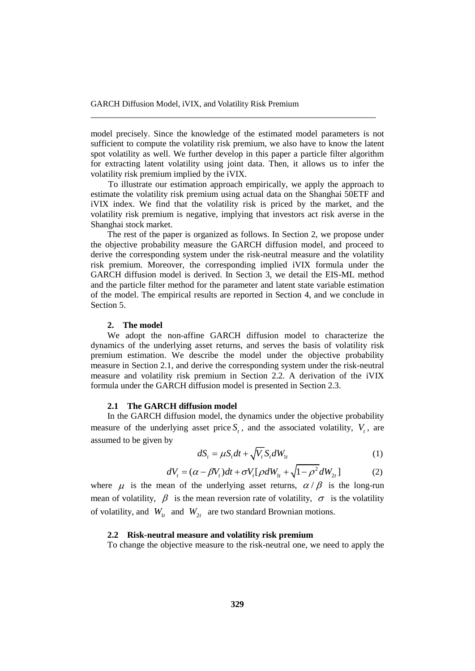model precisely. Since the knowledge of the estimated model parameters is not sufficient to compute the volatility risk premium, we also have to know the latent spot volatility as well. We further develop in this paper a particle filter algorithm for extracting latent volatility using joint data. Then, it allows us to infer the volatility risk premium implied by the iVIX.

\_\_\_\_\_\_\_\_\_\_\_\_\_\_\_\_\_\_\_\_\_\_\_\_\_\_\_\_\_\_\_\_\_\_\_\_\_\_\_\_\_\_\_\_\_\_\_\_\_\_\_\_\_\_\_\_\_\_\_\_\_\_\_\_\_

To illustrate our estimation approach empirically, we apply the approach to estimate the volatility risk premium using actual data on the Shanghai 50ETF and iVIX index. We find that the volatility risk is priced by the market, and the volatility risk premium is negative, implying that investors act risk averse in the Shanghai stock market.

The rest of the paper is organized as follows. In Section 2, we propose under the objective probability measure the GARCH diffusion model, and proceed to derive the corresponding system under the risk-neutral measure and the volatility risk premium. Moreover, the corresponding implied iVIX formula under the GARCH diffusion model is derived. In Section 3, we detail the EIS-ML method and the particle filter method for the parameter and latent state variable estimation of the model. The empirical results are reported in Section 4, and we conclude in Section 5.

#### **2. The model**

We adopt the non-affine GARCH diffusion model to characterize the dynamics of the underlying asset returns, and serves the basis of volatility risk premium estimation. We describe the model under the objective probability measure in Section 2.1, and derive the corresponding system under the risk-neutral measure and volatility risk premium in Section 2.2. A derivation of the iVIX formula under the GARCH diffusion model is presented in Section 2.3.

#### **2.1 The GARCH diffusion model**

In the GARCH diffusion model, the dynamics under the objective probability measure of the underlying asset price  $S_t$ , and the associated volatility,  $V_t$ , are assumed to be given by

$$
dS_t = \mu S_t dt + \sqrt{V_t} S_t dW_{1t}
$$
 (1)

$$
dS_t = \mu S_t dt + \sqrt{V_t S_t} dW_{1t}
$$
\n
$$
dV_t = (\alpha - \beta V_t) dt + \sigma V_t [\rho dW_{1t} + \sqrt{1 - \rho^2} dW_{2t}]
$$
\n(1)

where  $\mu$  is the mean of the underlying asset returns,  $\alpha/\beta$  is the long-run mean of volatility,  $\beta$  is the mean reversion rate of volatility,  $\sigma$  is the volatility of volatility, and  $W_{1t}$  and  $W_{2t}$  are two standard Brownian motions.

#### **2.2 Risk-neutral measure and volatility risk premium**

To change the objective measure to the risk-neutral one, we need to apply the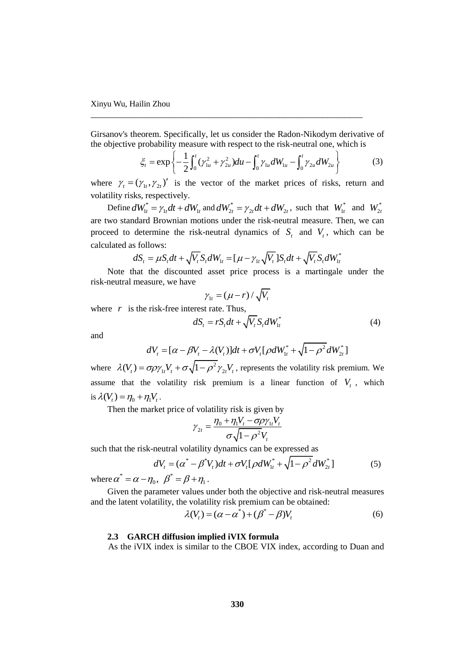Girsanov's theorem. Specifically, let us consider the Radon-Nikodym derivative of

\_\_\_\_\_\_\_\_\_\_\_\_\_\_\_\_\_\_\_\_\_\_\_\_\_\_\_\_\_\_\_\_\_\_\_\_\_\_\_\_\_\_\_\_\_\_\_\_\_\_\_\_\_\_\_\_\_\_\_\_\_\_

Girsanov's theorem. Specifically, let us consider the Radon-Nikodym derivative of  
the objective probability measure with respect to the risk-neutral one, which is  

$$
\xi_t = \exp\left\{-\frac{1}{2}\int_0^t (\gamma_{1u}^2 + \gamma_{2u}^2)du - \int_0^t \gamma_{1u}dW_{1u} - \int_0^t \gamma_{2u}dW_{2u}\right\}
$$
(3)

where  $\gamma_t = (\gamma_{1t}, \gamma_{2t})'$  is the vector of the market prices of risks, return and volatility risks, respectively.

Define  $dW_{1t}^* = \gamma_{1t}dt + dW_{1t}$  and  $dW_{2t}^* = \gamma_{2t}dt + dW_{2t}$ , such that  $W_{1t}^*$  and  $W_{2t}^*$ are two standard Brownian motions under the risk-neutral measure. Then, we can proceed to determine the risk-neutral dynamics of  $S_t$  and  $V_t$ , which can be calculated as follows:

s nonows:  
\n
$$
dS_t = \mu S_t dt + \sqrt{V_t} S_t dW_{1t} = [\mu - \gamma_{1t} \sqrt{V_t}] S_t dt + \sqrt{V_t} S_t dW_{1t}^*
$$

Note that the discounted asset price process is a martingale under the risk-neutral measure, we have

$$
\gamma_{1t} = (\mu - r) / \sqrt{V_t}
$$

where  $r$  is the risk-free interest rate. Thus,

$$
dS_t = rS_t dt + \sqrt{V_t} S_t dW_{1t}^* \tag{4}
$$

and

$$
dV_t = [\alpha - \beta V_t - \lambda(V_t)]dt + \sigma V_t[\rho dW_t^* + \sqrt{1 - \rho^2} dW_{2t}^*]
$$

where  $\lambda(V_t) = \sigma \rho \gamma_1 V_t + \sigma \sqrt{1 - \rho^2}$  $\lambda(V_t) = \sigma \rho \gamma_{1t} V_t + \sigma \sqrt{1 - \rho^2} \gamma_{2t} V_t$ , represents the volatility risk premium. We assume that the volatility risk premium is a linear function of  $V_t$ , which is  $\lambda(V_t) = \eta_0 + \eta_1 V_t$ .

Then the market price of volatility risk is given by<br> $\eta_0 + \eta_1 V_t - \sigma \rho \gamma_1 V_t$ 

$$
\gamma_{2t} = \frac{\eta_0 + \eta_1 V_t - \sigma \rho \gamma_{1t} V_t}{\sigma \sqrt{1 - \rho^2} V_t}
$$

such that the risk-neutral volatility dynamics can be expressed as<br>  $dV = (\alpha^* - \beta^* V)dt + \sigma V[\rho dW^* + \sqrt{1 - \rho^2}dW^*]$ 

k-neutral volatility dynamics can be expressed as  
\n
$$
dV_t = (\alpha^* - \beta^* V_t)dt + \sigma V_t[\rho dW_{1t}^* + \sqrt{1 - \rho^2} dW_{2t}^*]
$$
\n(5)

where  $\alpha^* = \alpha - \eta_0$ ,  $\beta^* = \beta + \eta_1$ .

Given the parameter values under both the objective and risk-neutral measures and the latent volatility, the volatility risk premium can be obtained:<br>  $\lambda(V_t) = (\alpha - \alpha^*) + (\beta^* - \beta)V_t$  (6)

$$
\lambda(V_t) = (\alpha - \alpha^*) + (\beta^* - \beta)V_t \tag{6}
$$

### **2.3 GARCH diffusion implied iVIX formula**

As the iVIX index is similar to the CBOE VIX index, according to Duan and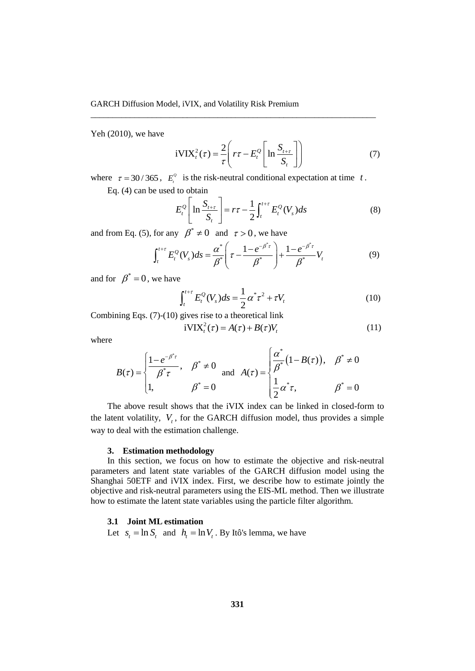Yeh (2010), we have

$$
iVIXt2(\tau) = \frac{2}{\tau} \left( r\tau - E_t^{\mathcal{Q}} \left[ \ln \frac{S_{t+\tau}}{S_t} \right] \right)
$$
(7)

where  $\tau = 30/365$ ,  $E_i^{\phi}$  $E_i^Q$  is the risk-neutral conditional expectation at time  $t$ .

\_\_\_\_\_\_\_\_\_\_\_\_\_\_\_\_\_\_\_\_\_\_\_\_\_\_\_\_\_\_\_\_\_\_\_\_\_\_\_\_\_\_\_\_\_\_\_\_\_\_\_\_\_\_\_\_\_\_\_\_\_\_\_\_\_

Eq. (4) can be used to obtain  
\n
$$
E_t^Q \left[ \ln \frac{S_{t+\tau}}{S_t} \right] = r\tau - \frac{1}{2} \int_t^{t+\tau} E_t^Q(V_s) ds \tag{8}
$$

and from Eq. (5), for any 
$$
\beta^* \neq 0
$$
 and  $\tau > 0$ , we have  
\n
$$
\int_t^{t+\tau} E_t^{\mathcal{Q}}(V_s) ds = \frac{\alpha^*}{\beta^*} \left( \tau - \frac{1 - e^{-\beta^* \tau}}{\beta^*} \right) + \frac{1 - e^{-\beta^* \tau}}{\beta^*} V_t
$$
\n(9)

and for  $\beta^* = 0$ , we have

$$
\int_{t}^{t+\tau} E_{t}^{Q}(V_{s})ds = \frac{1}{2}\alpha^{*}\tau^{2} + \tau V_{t}
$$
 (10)

Combining Eqs. (7)-(10) gives rise to a theoretical link

$$
iVIXt2(\tau) = A(\tau) + B(\tau)Vt
$$
 (11)

where

$$
B(\tau) = \begin{cases} \frac{1 - e^{-\beta^* \tau}}{\beta^* \tau}, & \beta^* \neq 0 \\ 1, & \beta^* = 0 \end{cases} \text{ and } A(\tau) = \begin{cases} \frac{\alpha^*}{\beta^*} (1 - B(\tau)), & \beta^* \neq 0 \\ \frac{1}{2} \alpha^* \tau, & \beta^* = 0 \end{cases}
$$

The above result shows that the iVIX index can be linked in closed-form to the latent volatility,  $V_t$ , for the GARCH diffusion model, thus provides a simple way to deal with the estimation challenge.

#### **3. Estimation methodology**

In this section, we focus on how to estimate the objective and risk-neutral parameters and latent state variables of the GARCH diffusion model using the Shanghai 50ETF and iVIX index. First, we describe how to estimate jointly the objective and risk-neutral parameters using the EIS-ML method. Then we illustrate how to estimate the latent state variables using the particle filter algorithm.

#### **3.1 Joint ML estimation**

Let  $s_t = \ln S_t$  and  $h_t = \ln V_t$ . By Itô's lemma, we have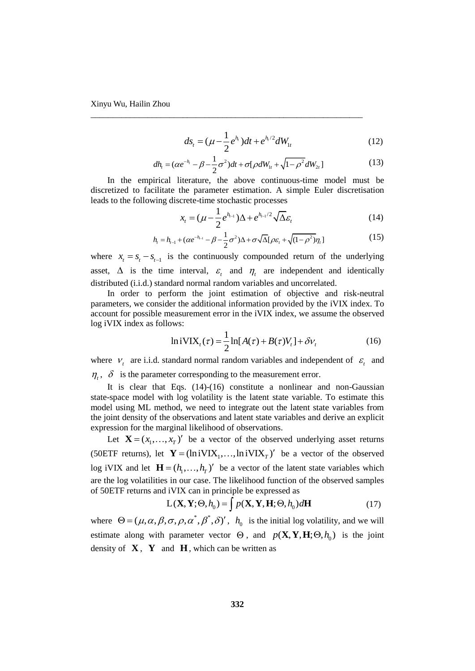$$
ds_t = (\mu - \frac{1}{2}e^{h_t})dt + e^{h_t/2}dW_{1t}
$$
\n(12)

$$
dh_{t} = (\alpha e^{-h_{t}} - \beta - \frac{1}{2}\sigma^{2})dt + \sigma[\rho dW_{1t} + \sqrt{1 - \rho^{2}}dW_{2t}]
$$
\n(13)

In the empirical literature, the above continuous-time model must be discretized to facilitate the parameter estimation. A simple Euler discretisation leads to the following discrete-time stochastic processes

\_\_\_\_\_\_\_\_\_\_\_\_\_\_\_\_\_\_\_\_\_\_\_\_\_\_\_\_\_\_\_\_\_\_\_\_\_\_\_\_\_\_\_\_\_\_\_\_\_\_\_\_\_\_\_\_\_\_\_\_\_\_

$$
x_{t} = (\mu - \frac{1}{2}e^{h_{t-1}})\Delta + e^{h_{t-1}/2}\sqrt{\Delta \varepsilon_{t}}
$$
 (14)

$$
\lambda_t - (\mu - \frac{1}{2}e^{-\frac{1}{2}(\mu - \frac{1}{2})\Delta + \epsilon} \sqrt{\Delta \varepsilon_t}
$$
\n
$$
h_t = h_{t-1} + (\alpha e^{-h_{t-1}} - \beta - \frac{1}{2}\sigma^2)\Delta + \sigma\sqrt{\Delta}[\rho\varepsilon_t + \sqrt{(1-\rho^2)}\eta_t]
$$
\n(15)

where  $x_t = s_t - s_{t-1}$  is the continuously compounded return of the underlying asset,  $\Delta$  is the time interval,  $\varepsilon$ <sub>t</sub> and  $\eta$ <sub>t</sub> are independent and identically distributed (i.i.d.) standard normal random variables and uncorrelated.

In order to perform the joint estimation of objective and risk-neutral parameters, we consider the additional information provided by the iVIX index. To account for possible measurement error in the iVIX index, we assume the observed log iVIX index as follows:

$$
\text{ln} \, \text{i} \, \text{VIX}_t(\tau) = \frac{1}{2} \ln[A(\tau) + B(\tau) V_t] + \delta V_t \tag{16}
$$

where  $V_t$  are i.i.d. standard normal random variables and independent of  $\varepsilon_t$  and  $\eta_t$ ,  $\delta$  is the parameter corresponding to the measurement error.

It is clear that Eqs. (14)-(16) constitute a nonlinear and non-Gaussian state-space model with log volatility is the latent state variable. To estimate this model using ML method, we need to integrate out the latent state variables from the joint density of the observations and latent state variables and derive an explicit expression for the marginal likelihood of observations.

Let  $\mathbf{X} = (x_1, ..., x_T)$  be a vector of the observed underlying asset returns (50ETF returns), let  $\mathbf{Y} = (\ln i V I X_1, ..., \ln i V I X_T)'$  be a vector of the observed log iVIX and let  $\mathbf{H} = (h_1, ..., h_T)^\prime$  be a vector of the latent state variables which are the log volatilities in our case. The likelihood function of the observed samples

of 50ETF returns and iVIX can in principle be expressed as  
\n
$$
L(\mathbf{X}, \mathbf{Y}; \Theta, h_0) = \int p(\mathbf{X}, \mathbf{Y}, \mathbf{H}; \Theta, h_0) d\mathbf{H}
$$
\n(17)

where  $\Theta = (\mu, \alpha, \beta, \sigma, \rho, \alpha^*, \beta^*, \delta)'$ ,  $h_0$  is the initial log volatility, and we will estimate along with parameter vector  $\Theta$ , and  $p(\mathbf{X}, \mathbf{Y}, \mathbf{H}; \Theta, h_0)$  is the joint density of  $X$ ,  $Y$  and  $H$ , which can be written as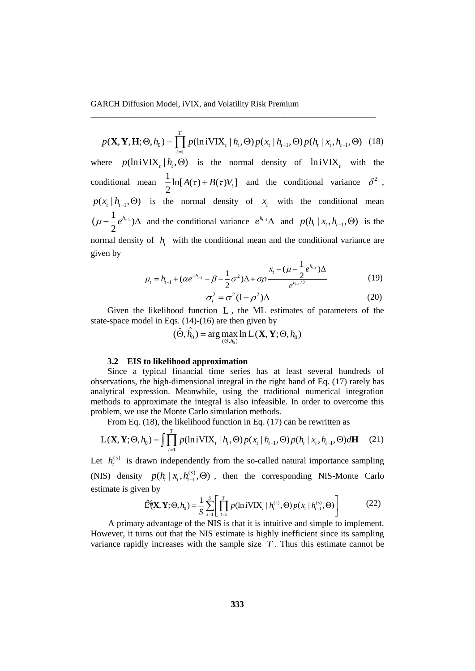$(\mathbf{X}, \mathbf{Y}, \mathbf{H}; \Theta, h_0) = \prod_{t=1}^{T} p(\ln i \text{VIX}_t | h_t, \Theta) p(x_t | h_{t-1}, \Theta) p(h_t | x_t, h_{t-1}, \Theta)$ 1  $p(\mathbf{X}, \mathbf{Y}, \mathbf{H}; \Theta, h_0) = \prod_{t=1}^{T} p(\text{lniVIX}_t | h_t, \Theta) p(x_t | h_{t-1}, \Theta) p(h_t | x_t, h_{t-1}, \Theta)$  (18) *t*  $\overline{a}$ (18) where  $p(\ln i \text{VIX}_t | h_t, \Theta)$  is the normal density of  $\ln i \text{VIX}_t$  with the conditional mean  $\frac{1}{2} \ln[A(\tau) + B(\tau) V_t]$  $\frac{1}{2} \ln[A(\tau) + B(\tau)V_t]$  and the conditional variance  $\delta^2$ ,  $p(x_t | h_{t-1}, \Theta)$  is the normal density of  $x_t$  with the conditional mean  $(\mu - \frac{1}{2}e^{h_{t-1}})$  $\mu - \frac{1}{2}e^{h_{t-1}}\Delta$  and the conditional variance  $e^{h_{t-1}}\Delta$  and  $p(h_t | x_t, h_{t-1}, \Theta)$  is the normal density of  $h$ <sub>t</sub> with the conditional mean and the conditional variance are given by

\_\_\_\_\_\_\_\_\_\_\_\_\_\_\_\_\_\_\_\_\_\_\_\_\_\_\_\_\_\_\_\_\_\_\_\_\_\_\_\_\_\_\_\_\_\_\_\_\_\_\_\_\_\_\_\_\_\_\_\_\_\_\_\_\_

$$
\mu_{t} = h_{t-1} + (\alpha e^{-h_{t-1}} - \beta - \frac{1}{2}\sigma^2)\Delta + \sigma\rho \frac{x_{t} - (\mu - \frac{1}{2}e^{h_{t-1}})\Delta}{e^{h_{t-1}/2}}
$$
(19)

$$
\sigma_t^2 = \sigma^2 (1 - \rho^2) \Delta \tag{20}
$$

Given the likelihood function L , the ML estimates of parameters of the state-space model in Eqs. (14)-(16) are then given by<br>  $(\hat{\Theta}, \hat{h}_0) = \arg \max_{(\hat{\Theta}, h)} \ln L(\mathbf{X}, \mathbf{Y}; \Theta, h_0)$ 

$$
(\hat{\Theta}, \hat{h}_0) = \arg \max_{(\Theta, h_0)} \ln L(\mathbf{X}, \mathbf{Y}; \Theta, h_0)
$$

#### **3.2 EIS to likelihood approximation**

Since a typical financial time series has at least several hundreds of observations, the high-dimensional integral in the right hand of Eq. (17) rarely has analytical expression. Meanwhile, using the traditional numerical integration methods to approximate the integral is also infeasible. In order to overcome this problem, we use the Monte Carlo simulation methods.

From Eq. (18), the likelihood function in Eq. (17) can be rewritten as

oblem, we use the Monte Carlo simulation methods.  
\nFrom Eq. (18), the likelihood function in Eq. (17) can be rewritten as  
\n
$$
L(\mathbf{X}, \mathbf{Y}; \Theta, h_0) = \int \prod_{t=1}^{T} p(\ln i \text{VIX}_t | h_t, \Theta) p(x_t | h_{t-1}, \Theta) p(h_t | x_t, h_{t-1}, \Theta) d\mathbf{H}
$$
 (21)

Let  $h_t^{(s)}$  is drawn independently from the so-called natural importance sampling (NIS) density  $p(h_{t} | x_{t}, h_{t-1}^{(s)})$ estimate is given by

$$
p(h_t | x_t, h_{t-1}^{(s)}, \Theta) \text{, then the corresponding NIS-Monte Carlo}
$$
\n
$$
\text{L}^{\circ}(\mathbf{X}, \mathbf{Y}; \Theta, h_0) = \frac{1}{S} \sum_{s=1}^{S} \left[ \prod_{t=1}^{T} p(\text{lniv}) \mathbf{X}_t | h_t^{(s)}, \Theta) p(x_t | h_{t-1}^{(s)}, \Theta) \right] \tag{22}
$$

A primary advantage of the NIS is that it is intuitive and simple to implement. However, it turns out that the NIS estimate is highly inefficient since its sampling variance rapidly increases with the sample size  $T$ . Thus this estimate cannot be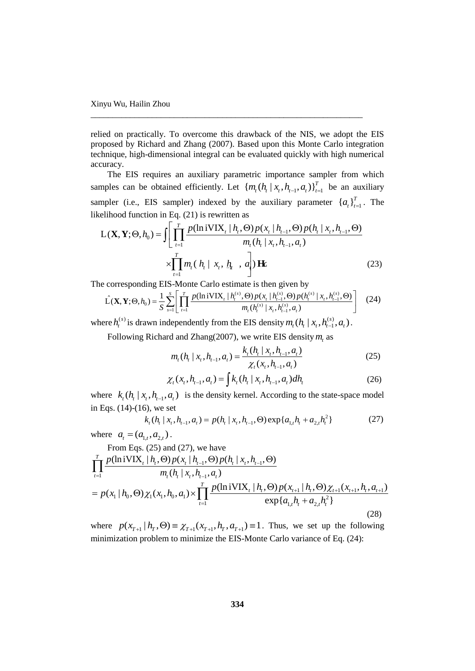relied on practically. To overcome this drawback of the NIS, we adopt the EIS proposed by Richard and Zhang (2007). Based upon this Monte Carlo integration technique, high-dimensional integral can be evaluated quickly with high numerical accuracy.

\_\_\_\_\_\_\_\_\_\_\_\_\_\_\_\_\_\_\_\_\_\_\_\_\_\_\_\_\_\_\_\_\_\_\_\_\_\_\_\_\_\_\_\_\_\_\_\_\_\_\_\_\_\_\_\_\_\_\_\_\_\_

The EIS requires an auxiliary parametric importance sampler from which samples can be obtained efficiently. Let  $\{m_t(h_t | x_t, h_{t-1}, a_t)\}_{t=1}^T$  be an auxiliary sampler (i.e., EIS sampler) indexed by the auxiliary parameter  $\{a_t\}_{t=1}^T$ . The likelihood function in Eq. (21) is rewritten as<br>  $L(\mathbf{X}, \mathbf{Y}; \Theta, h_0) = \int \left[ \prod_{t=1}^T \frac{p(\ln i \text{VIX}_t | h_t, \Theta) p(x_t | h_{t-1}, \Theta) p(h_t | x_t, h_{t-1}, \Theta)}{m_t$ likelihood function in Eq. (21) is rewritten as

elihood function in Eq. (21) is rewritten as  
\n
$$
L(\mathbf{X}, \mathbf{Y}; \Theta, h_0) = \int \left[ \prod_{t=1}^T \frac{p(\ln i \mathbf{V} \mathbf{IX}_t | h_t, \Theta) p(x_t | h_{t-1}, \Theta) p(h_t | x_t, h_{t-1}, \Theta)}{m_t(h_t | x_t, h_{t-1}, a_t)} \right]
$$
\n
$$
\times \prod_{t=1}^T m_t(h_t | x_t, h_t, a_t) \mathbf{H}.
$$
\n(23)

$$
\times \prod_{t=1}^{N} m_t (n_t | x_t, p_t, q_t) \mathbf{H} \tag{23}
$$
\nThe corresponding EIS-Monte Carlo estimate is then given by\n
$$
\hat{L}(\mathbf{X}, \mathbf{Y}; \Theta, h_0) = \frac{1}{S} \sum_{s=1}^{S} \left[ \prod_{t=1}^{T} \frac{p(\text{lniv}(\mathbf{X}_t | h_t^{(s)}, \Theta) p(x_t | h_{t-1}^{(s)}, \Theta) p(h_t^{(s)} | x_t, h_{t-1}^{(s)}, \Theta)}{m_t(h_t^{(s)} | x_t, h_{t-1}^{(s)}, a_t)} \right]
$$
\n(24)

where  $h_i^{(s)}$  is drawn independently from the EIS density  $m_i(h_i | x_i, h_{i-1}^{(s)})$  $m_t(h_t | x_t, h_{t-1}^{(s)}, a_t)$ .

Following Richard and Zhang(2007), we write EIS density 
$$
m_t
$$
 as  
\n
$$
m_t(h_t | x_t, h_{t-1}, a_t) = \frac{k_t(h_t | x_t, h_{t-1}, a_t)}{\chi_t(x_t, h_{t-1}, a_t)}
$$
\n(25)

$$
\chi_t(x_t, h_{t-1}, a_t)
$$
  

$$
\chi_t(x_t, h_{t-1}, a_t) = \int k_t(h_t | x_t, h_{t-1}, a_t) dh_t
$$
 (26)

where  $k_{i} (h_{i} | x_{i}, h_{i-1}, a_{i})$  is the density kernel. According to the state-space model<br>in Eqs. (14)-(16), we set<br> $k_{i} (h_{i} | x_{i}, h_{i-1}, a_{i}) = p(h_{i} | x_{i}, h_{i-1}, \Theta) \exp\{a_{1,i} h_{i} + a_{2,i} h_{i}^{2}\}$  (27) in Eqs. (14)-(16), we set

$$
k_{t}(h_{t} | x_{t}, h_{t-1}, a_{t}) = p(h_{t} | x_{t}, h_{t-1}, \Theta) \exp\{a_{1,t}h_{t} + a_{2,t}h_{t}^{2}\}
$$
 (27)

where  $a_t = (a_{1,t}, a_{2,t})$ .

From Eqs. (25) and (27), we have  
\n
$$
\prod_{t=1}^{T} \frac{p(\ln i \text{VIX}_{t} | h_{t}, \Theta) p(x_{t} | h_{t-1}, \Theta) p(h_{t} | x_{t}, h_{t-1}, \Theta)}{m_{t}(h_{t} | x_{t}, h_{t-1}, a_{t})}
$$
\n
$$
= p(x_{1} | h_{0}, \Theta) \chi_{1}(x_{1}, h_{0}, a_{1}) \times \prod_{t=1}^{T} \frac{p(\ln i \text{VIX}_{t} | h_{t}, \Theta) p(x_{t+1} | h_{t}, \Theta) \chi_{t+1}(x_{t+1}, h_{t}, a_{t+1})}{\exp\{a_{1,t} h_{t} + a_{2,t} h_{t}^{2}\}}
$$
\n(28)

where  $p(x_{T+1} | h_T, \Theta) \equiv \chi_{T+1}(x_{T+1}, h_T, a_{T+1}) \equiv 1$ . Thus, we set up the following minimization problem to minimize the EIS-Monte Carlo variance of Eq. (24):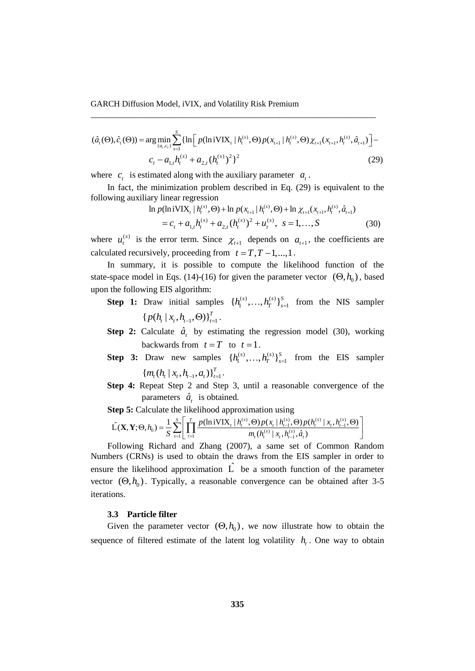GARCH Diffusion Model, iVIX, and Volatility Risk Premium  
\n
$$
(\hat{a}_t(\Theta), \hat{c}_t(\Theta)) = \arg \min_{(a_t, c_t)} \sum_{s=1}^s \{ \ln \left[ p(\ln iVIX_t | h_t^{(s)}, \Theta) p(x_{t+1} | h_t^{(s)}, \Theta) \chi_{t+1}(x_{t+1}, h_t^{(s)}, \hat{a}_{t+1}) \right] - c_t - a_{1,t} h_t^{(s)} + a_{2,t} (h_t^{(s)})^2 \}
$$
\n(29)

\_\_\_\_\_\_\_\_\_\_\_\_\_\_\_\_\_\_\_\_\_\_\_\_\_\_\_\_\_\_\_\_\_\_\_\_\_\_\_\_\_\_\_\_\_\_\_\_\_\_\_\_\_\_\_\_\_\_\_\_\_\_\_\_\_

where  $c_i$  is estimated along with the auxiliary parameter  $a_i$ .

In fact, the minimization problem described in Eq. (29) is equivalent to the wing auxiliary linear regression<br>  $\ln p(\ln iVIX_t | h_t^{(s)}, \Theta) + \ln p(x_{t+1} | h_t^{(s)}, \Theta) + \ln \chi_{t+1}(x_{t+1}, h_t^{(s)}, \hat{a}_{t+1})$ following auxiliary linear regression ssion<br>
(s),  $\Theta$ ) + ln  $p(x_1, | h^{(s)}, \Theta)$  + ln  $x_2, (x_3, h^{(s)})$ sion<br>
<sup>s</sup>.  $\Theta$ ) + ln *p*(*x*<sub>ii</sub>, | *h*<sup>(s)</sup>,  $\Theta$ ) + ln *y*<sub>ii</sub>(*x*<sub>iii</sub>, *h*<sup>(s)</sup>)

n 
$$
p(\text{ln} i \text{VIX}_t | h_t^{(s)}, \Theta) + \text{ln} p(x_{t+1} | h_t^{(s)}, \Theta) + \text{ln} \chi_{t+1}(x_{t+1}, h_t^{(s)}, \hat{a}_{t+1})
$$
  
=  $c_t + a_{1,t} h_t^{(s)} + a_{2,t} (h_t^{(s)})^2 + u_t^{(s)}, \quad s = 1, ..., S$  (30)

where  $u_t^{(s)}$  is the error term. Since  $\chi_{t+1}$  depends on  $a_{t+1}$ , the coefficients are calculated recursively, proceeding from  $t = T, T - 1, ..., 1$ .

In summary, it is possible to compute the likelihood function of the state-space model in Eqs. (14)-(16) for given the parameter vector  $(\Theta, h_0)$ , based upon the following EIS algorithm:

- **Step 1:** Draw initial samples  $\{h_1^{(s)},...,h_T^{(s)}\}_{s=1}^S$  from the NIS sampler  $\{ p(h_{t} | x_{t}, h_{t-1}, \Theta) \}_{t=1}^{T}$ .
- **Step 2:** Calculate  $\hat{a}_t$  by estimating the regression model (30), working backwards from  $t = T$  to  $t = 1$ .
- **Step 3:** Draw new samples  $\{h_1^{(s)},...,h_T^{(s)}\}_{s=1}^S$  from the EIS sampler  $\{m_t(h_t | x_t, h_{t-1}, a_t)\}_{t=1}^T$ .
- **Step 4:** Repeat Step 2 and Step 3, until a reasonable convergence of the parameters  $\hat{a}_t$  is obtained.

parameters 
$$
\hat{a}_t
$$
 is obtained.  
\n**Step 5:** Calculate the likelihood approximation using  
\n
$$
\hat{\mathbf{L}}(\mathbf{X}, \mathbf{Y}; \Theta, h_0) = \frac{1}{S} \sum_{s=1}^{S} \left[ \prod_{t=1}^{T} \frac{p(\text{lnivIX}_t | h_i^{(s)}, \Theta) p(x_t | h_{t-1}^{(s)}, \Theta) p(h_i^{(s)} | x_t, h_{t-1}^{(s)}, \Theta)}{m_t(h_i^{(s)} | x_t, h_{t-1}^{(s)}, \hat{a}_t)} \right]
$$
\nFollowing Bibord and **Then** (2007).

Following Richard and Zhang (2007), a same set of Common Random Numbers (CRNs) is used to obtain the draws from the EIS sampler in order to ensure the likelihood approximation  $\hat{L}$  be a smooth function of the parameter vector  $(\Theta, h_0)$ . Typically, a reasonable convergence can be obtained after 3-5 iterations.

# **3.3 Particle filter**

Given the parameter vector  $(\Theta, h_0)$ , we now illustrate how to obtain the sequence of filtered estimate of the latent log volatility  $h_t$ . One way to obtain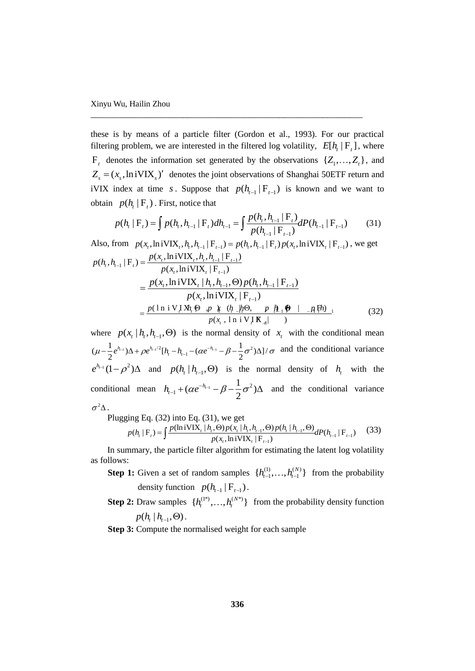these is by means of a particle filter (Gordon et al., 1993). For our practical filtering problem, we are interested in the filtered log volatility,  $E[h_t | F_t]$ , where  $F_t$  denotes the information set generated by the observations  $\{Z_1, \ldots, Z_t\}$ , and  $Z_s = (x_s, \ln iVIX_s)'$  denotes the joint observations of Shanghai 50ETF return and iVIX index at time *s*. Suppose that  $p(h_{t-1} | F_{t-1})$  is known and we want to obtain  $p(h_t | F_t)$ . First, notice that  $p(h_t | F_t) = \int p(h_t, h_{t-1} | F_t) dh_{t-1} = \int \frac{p(h_t, h_{t-1} | F_t)}{p(h_{t-1} | F_{t-1})} dP(h_{t-1} | F_{t-1})$  (31) obtain  $p(h_t | F_t)$ . First, notice that

\_\_\_\_\_\_\_\_\_\_\_\_\_\_\_\_\_\_\_\_\_\_\_\_\_\_\_\_\_\_\_\_\_\_\_\_\_\_\_\_\_\_\_\_\_\_\_\_\_\_\_\_\_\_\_\_\_\_\_\_\_\_

$$
p(h_{t} | F_{t})
$$
. First, notice that  
\n
$$
p(h_{t} | F_{t}) = \int p(h_{t}, h_{t-1} | F_{t}) dh_{t-1} = \int \frac{p(h_{t}, h_{t-1} | F_{t})}{p(h_{t-1} | F_{t-1})} dP(h_{t-1} | F_{t-1})
$$
\n
$$
P(h_{t-1} | F_{t-1}) = \int p(h_{t}, h_{t-1} | F_{t}) p(x_{t}, h_{t} | F_{t-1}), \text{ we get}
$$

Also, from 
$$
p(x_t, \text{lniVIX}_t, h_t, h_{t-1} | F_{t-1}) = p(h_t, h_{t-1} | F_t) p(x_t, \text{lniVIX}_t | F_{t-1})
$$
, we get  
\n
$$
p(h_t, h_{t-1} | F_t) = \frac{p(x_t, \text{lniVIX}_t, h_t, h_{t-1} | F_{t-1})}{p(x_t, \text{lniVIX}_t | F_{t-1})}
$$
\n
$$
= \frac{p(x_t, \text{lniVIX}_t | h_t, h_{t-1}, \Theta) p(h_t, h_{t-1} | F_{t-1})}{p(x_t, \text{lniVIX}_t | F_{t-1})}
$$
\n
$$
= \frac{p(\ln i \lor J X_h \Theta \cdot p) \cdot (h_t \cdot h_t \Theta \cdot p) \cdot (h_t \cdot p) - p(\ln i \Theta \cdot p)}{p(x_t, \ln i \lor J X_{t-1})}
$$
\n(32)

where  $p(x_t | h_t, h_{t-1}, \Theta)$  is the normal density of  $x_t$  with the conditional mean where  $p(x_t | h_t, h_{t-1}, \Theta)$  is the normal density of<br>  $(\mu - \frac{1}{2}e^{h_{t-1}})\Delta + \rho e^{h_{t-1}/2}[h_t - h_{t-1} - (\alpha e^{-h_{t-1}} - \beta - \frac{1}{2}\sigma^2)\Delta]/$ where  $p(x_t | h_t, h_{t-1}, \Theta)$  is the normal density of  $x_t$  with the conditional mean  $\mu - \frac{1}{2} e^{h_{t-1}} \Delta + \rho e^{h_{t-1}/2} [h_t - h_{t-1} - (\alpha e^{-h_{t-1}} - \beta - \frac{1}{2} \sigma^2) \Delta]/\sigma$  and the conditional variance  $e^{h_{t-1}}(1-\rho^2)\Delta$  and  $p(h_t | h_{t-1}, \Theta)$  is the normal density of  $h_t$  with the conditional mean  $h_{t-1} + (\alpha e^{-h_{t-1}} - \beta - \frac{1}{2}\sigma^2)$  $(\alpha e^{-h_{t-1}} - \beta - \frac{1}{2}\sigma^2)$  $h_{t-1} + (\alpha e^{-h_{t-1}} - \beta - \frac{1}{2}\sigma^2)\Delta$  and the conditional variance  $\sigma^2 \Delta$ .

$$
P~\text{Uugging Eq. (32) into Eq. (31), we get} \\ p(h_i|F_t) = \int \frac{p(\ln i \text{VIX}_i | h_i, \Theta) p(x_i | h_i, h_{i-1}, \Theta) p(h_i | h_{i-1}, \Theta)}{p(x_i, \ln i \text{VIX}_i | F_{t-1})} dP(h_{i-1} | F_{t-1}) \tag{33}
$$

In summary, the particle filter algorithm for estimating the latent log volatility as follows:

- **Step 1:** Given a set of random samples  $\{h_{t-1}^{(1)},...,h_{t-1}^{(N)}\}$  from the probability density function  $p(h_{t-1} | F_{t-1})$ .
- **Step 2:** Draw samples  $\{h_i^{(1^*)}, \ldots, h_i^{(N^*)}\}\$  from the probability density function  $p(h_{t} | h_{t-1}, \Theta)$ .

**Step 3:** Compute the normalised weight for each sample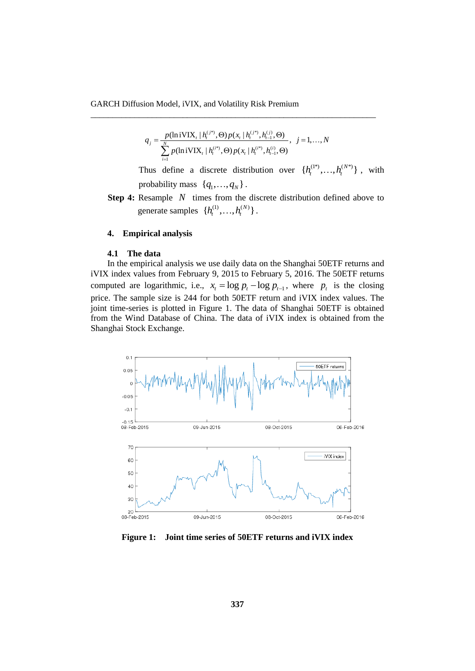$$
q_{j} = \frac{p(\ln i\text{VIX}_{t} | h_{t}^{(j^{*})}, \Theta) p(x_{t} | h_{t}^{(j^{*})}, h_{t-1}^{(j)}, \Theta)}{\sum_{i=1}^{N} p(\ln i\text{VIX}_{t} | h_{t}^{(i^{*})}, \Theta) p(x_{t} | h_{t}^{(i^{*})}, h_{t-1}^{(j)}, \Theta)}, \quad j = 1,...,N
$$

\_\_\_\_\_\_\_\_\_\_\_\_\_\_\_\_\_\_\_\_\_\_\_\_\_\_\_\_\_\_\_\_\_\_\_\_\_\_\_\_\_\_\_\_\_\_\_\_\_\_\_\_\_\_\_\_\_\_\_\_\_\_\_\_\_

Thus define a discrete distribution over  $\{h_i^{(1^*)},...,h_i^{(N^*)}\}$ , with probability mass  $\{q_1, \ldots, q_N\}$ .

**Step 4:** Resample N times from the discrete distribution defined above to generate samples  $\{h_t^{(1)},...,h_t^{(N)}\}$ .

# **4. Empirical analysis**

#### **4.1 The data**

In the empirical analysis we use daily data on the Shanghai 50ETF returns and iVIX index values from February 9, 2015 to February 5, 2016. The 50ETF returns computed are logarithmic, i.e.,  $x_t = \log p_t - \log p_{t-1}$ , where  $p_t$  is the closing price. The sample size is 244 for both 50ETF return and iVIX index values. The joint time-series is plotted in Figure 1. The data of Shanghai 50ETF is obtained from the Wind Database of China. The data of iVIX index is obtained from the Shanghai Stock Exchange.



**Figure 1: Joint time series of 50ETF returns and iVIX index**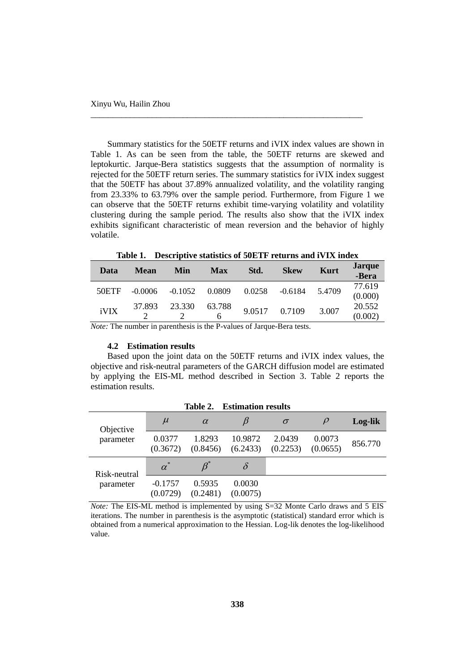Summary statistics for the 50ETF returns and iVIX index values are shown in Table 1. As can be seen from the table, the 50ETF returns are skewed and leptokurtic. Jarque-Bera statistics suggests that the assumption of normality is rejected for the 50ETF return series. The summary statistics for iVIX index suggest that the 50ETF has about 37.89% annualized volatility, and the volatility ranging from 23.33% to 63.79% over the sample period. Furthermore, from Figure 1 we can observe that the 50ETF returns exhibit time-varying volatility and volatility clustering during the sample period. The results also show that the iVIX index exhibits significant characteristic of mean reversion and the behavior of highly volatile.

\_\_\_\_\_\_\_\_\_\_\_\_\_\_\_\_\_\_\_\_\_\_\_\_\_\_\_\_\_\_\_\_\_\_\_\_\_\_\_\_\_\_\_\_\_\_\_\_\_\_\_\_\_\_\_\_\_\_\_\_\_\_

**Table 1. Descriptive statistics of 50ETF returns and iVIX index**

| Data  | <b>Mean</b> | Min       | Max         | Std.   | <b>Skew</b> | Kurt   | <b>Jarque</b><br>-Bera |
|-------|-------------|-----------|-------------|--------|-------------|--------|------------------------|
| 50ETF | $-0.0006$   | $-0.1052$ | 0.0809      | 0.0258 | $-0.6184$   | 5.4709 | 77.619<br>(0.000)      |
| iVIX  | 37.893      | 23.330    | 63.788<br>6 | 9.0517 | 0.7109      | 3.007  | 20.552<br>(0.002)      |

*Note:* The number in parenthesis is the P-values of Jarque-Bera tests.

## **4.2 Estimation results**

Based upon the joint data on the 50ETF returns and iVIX index values, the objective and risk-neutral parameters of the GARCH diffusion model are estimated by applying the EIS-ML method described in Section 3. Table 2 reports the estimation results.

| <b>Estimation results</b><br>Table 2. |                       |                    |                     |                    |                    |         |  |  |  |  |
|---------------------------------------|-----------------------|--------------------|---------------------|--------------------|--------------------|---------|--|--|--|--|
| Objective                             | $\mu$                 | $\alpha$           |                     | $\sigma$           |                    | Log-lik |  |  |  |  |
| parameter                             | 0.0377<br>(0.3672)    | 1.8293<br>(0.8456) | 10.9872<br>(6.2433) | 2.0439<br>(0.2253) | 0.0073<br>(0.0655) | 856.770 |  |  |  |  |
| Risk-neutral                          | $\alpha^*$            |                    | δ                   |                    |                    |         |  |  |  |  |
| parameter                             | $-0.1757$<br>(0.0729) | 0.5935<br>(0.2481) | 0.0030<br>(0.0075)  |                    |                    |         |  |  |  |  |

*Note:* The EIS-ML method is implemented by using S=32 Monte Carlo draws and 5 EIS iterations. The number in parenthesis is the asymptotic (statistical) standard error which is obtained from a numerical approximation to the Hessian. Log-lik denotes the log-likelihood value.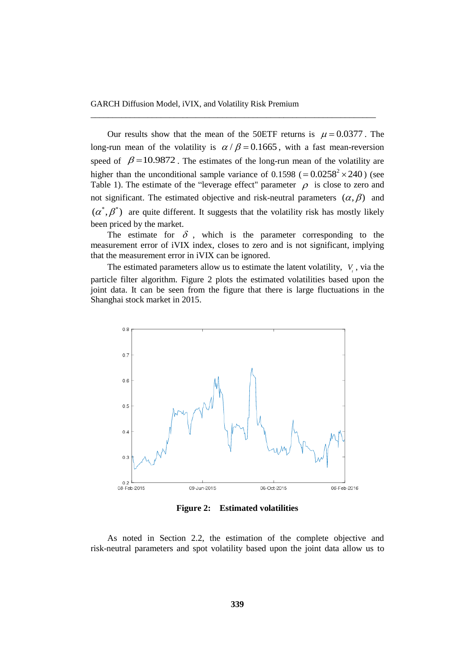Our results show that the mean of the 50ETF returns is  $\mu = 0.0377$ . The long-run mean of the volatility is  $\alpha / \beta = 0.1665$ , with a fast mean-reversion speed of  $\beta = 10.9872$ . The estimates of the long-run mean of the volatility are higher than the unconditional sample variance of  $0.1598 (= 0.0258<sup>2</sup> \times 240)$  (see Table 1). The estimate of the "leverage effect" parameter  $\rho$  is close to zero and not significant. The estimated objective and risk-neutral parameters  $(\alpha, \beta)$  and  $(\alpha^*, \beta^*)$  are quite different. It suggests that the volatility risk has mostly likely been priced by the market.

\_\_\_\_\_\_\_\_\_\_\_\_\_\_\_\_\_\_\_\_\_\_\_\_\_\_\_\_\_\_\_\_\_\_\_\_\_\_\_\_\_\_\_\_\_\_\_\_\_\_\_\_\_\_\_\_\_\_\_\_\_\_\_\_\_

The estimate for  $\delta$ , which is the parameter corresponding to the measurement error of iVIX index, closes to zero and is not significant, implying that the measurement error in iVIX can be ignored.

The estimated parameters allow us to estimate the latent volatility,  $V_t$ , via the particle filter algorithm. Figure 2 plots the estimated volatilities based upon the joint data. It can be seen from the figure that there is large fluctuations in the Shanghai stock market in 2015.



**Figure 2: Estimated volatilities**

As noted in Section 2.2, the estimation of the complete objective and risk-neutral parameters and spot volatility based upon the joint data allow us to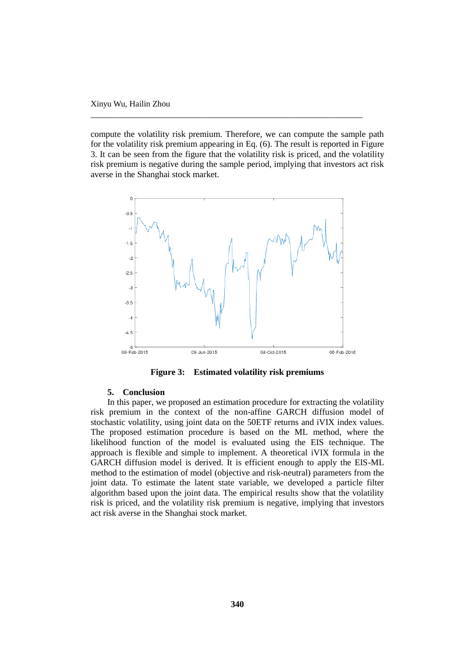compute the volatility risk premium. Therefore, we can compute the sample path for the volatility risk premium appearing in Eq. (6). The result is reported in Figure 3. It can be seen from the figure that the volatility risk is priced, and the volatility risk premium is negative during the sample period, implying that investors act risk averse in the Shanghai stock market.

\_\_\_\_\_\_\_\_\_\_\_\_\_\_\_\_\_\_\_\_\_\_\_\_\_\_\_\_\_\_\_\_\_\_\_\_\_\_\_\_\_\_\_\_\_\_\_\_\_\_\_\_\_\_\_\_\_\_\_\_\_\_



**Figure 3: Estimated volatility risk premiums**

# **5. Conclusion**

In this paper, we proposed an estimation procedure for extracting the volatility risk premium in the context of the non-affine GARCH diffusion model of stochastic volatility, using joint data on the 50ETF returns and iVIX index values. The proposed estimation procedure is based on the ML method, where the likelihood function of the model is evaluated using the EIS technique. The approach is flexible and simple to implement. A theoretical iVIX formula in the GARCH diffusion model is derived. It is efficient enough to apply the EIS-ML method to the estimation of model (objective and risk-neutral) parameters from the joint data. To estimate the latent state variable, we developed a particle filter algorithm based upon the joint data. The empirical results show that the volatility risk is priced, and the volatility risk premium is negative, implying that investors act risk averse in the Shanghai stock market.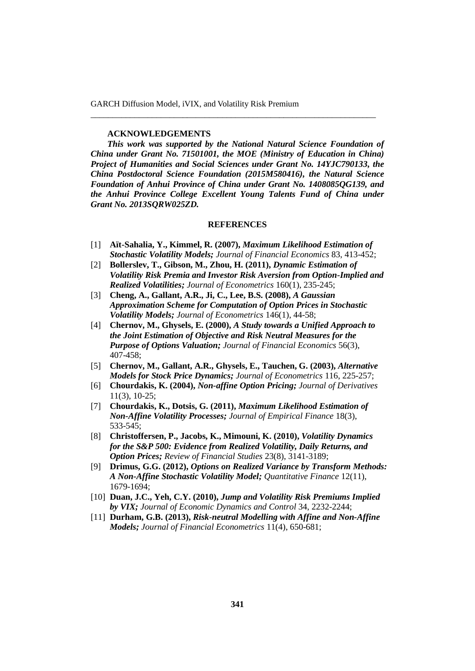GARCH Diffusion Model, iVIX, and Volatility Risk Premium

#### **ACKNOWLEDGEMENTS**

*This work was supported by the National Natural Science Foundation of China under Grant No. 71501001, the MOE (Ministry of Education in China) Project of Humanities and Social Sciences under Grant No. 14YJC790133, the China Postdoctoral Science Foundation (2015M580416), the Natural Science Foundation of Anhui Province of China under Grant No. 1408085QG139, and the Anhui Province College Excellent Young Talents Fund of China under Grant No. 2013SQRW025ZD.*

\_\_\_\_\_\_\_\_\_\_\_\_\_\_\_\_\_\_\_\_\_\_\_\_\_\_\_\_\_\_\_\_\_\_\_\_\_\_\_\_\_\_\_\_\_\_\_\_\_\_\_\_\_\_\_\_\_\_\_\_\_\_\_\_\_

#### **REFERENCES**

- [1] **Aït-Sahalia, Y., Kimmel, R. (2007),** *Maximum Likelihood Estimation of Stochastic Volatility Models; Journal of Financial Economics* 83, 413-452;
- [2] **Bollerslev, T., Gibson, M., Zhou, H. (2011),** *Dynamic Estimation of Volatility Risk Premia and Investor Risk Aversion from Option-Implied and Realized Volatilities; Journal of Econometrics* 160(1), 235-245;
- [3] **Cheng, A., Gallant, A.R., Ji, C., Lee, B.S. (2008),** *A Gaussian Approximation Scheme for Computation of Option Prices in Stochastic Volatility Models; Journal of Econometrics* 146(1), 44-58;
- [4] **Chernov, M., Ghysels, E. (2000),** *A Study towards a Unified Approach to the Joint Estimation of Objective and Risk Neutral Measures for the Purpose of Options Valuation; Journal of Financial Economics* 56(3), 407-458;
- [5] **Chernov, M., Gallant, A.R., Ghysels, E., Tauchen, G. (2003),** *Alternative Models for Stock Price Dynamics; Journal of Econometrics* 116, 225-257;
- [6] **Chourdakis, K. (2004),** *Non-affine Option Pricing; Journal of Derivatives*  11(3), 10-25;
- [7] **Chourdakis, K., Dotsis, G. (2011),** *Maximum Likelihood Estimation of Non-Affine Volatility Processes; Journal of Empirical Finance* 18(3), 533-545;
- [8] **Christoffersen, P., Jacobs, K., Mimouni, K. (2010),** *Volatility Dynamics for the S&P 500: Evidence from Realized Volatility, Daily Returns, and Option Prices; Review of Financial Studies* 23(8), 3141-3189;
- [9] **Drimus, G.G. (2012),** *Options on Realized Variance by Transform Methods: A Non-Affine Stochastic Volatility Model; Quantitative Finance* 12(11), 1679-1694;
- [10] **Duan, J.C., Yeh, C.Y. (2010),** *Jump and Volatility Risk Premiums Implied by VIX; Journal of Economic Dynamics and Control* 34, 2232-2244;
- [11] **Durham, G.B. (2013),** *Risk-neutral Modelling with Affine and Non-Affine Models; Journal of Financial Econometrics* 11(4), 650-681;